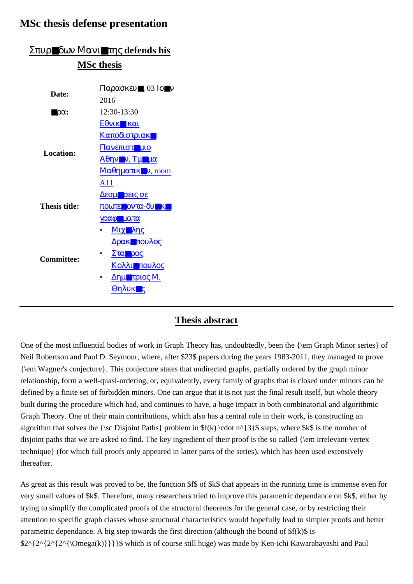## **MSc thesis defense presentation**

| Σπυρ∎δων Μανι∎της defends his |                                                     |
|-------------------------------|-----------------------------------------------------|
| <b>MSc thesis</b>             |                                                     |
|                               |                                                     |
| Date:                         | $\Pi$ αρασκευ, 03 Ιουν                              |
|                               | 2016                                                |
| $\blacksquare$ p $\alpha$ :   | 12:30-13:30                                         |
|                               | $E\theta$ <i>vik</i> kai                            |
| Location:                     | Καποδιστριακ <b><sup>1</sup></b>                    |
|                               | Πανεπιστ <b>η</b> μιο                               |
|                               | $A\theta\eta v$ v, $T\mu$ $\mu\alpha$               |
|                               | $M\alpha\theta\eta\mu\alpha\tau\iota\kappa$ v, room |
|                               | A11                                                 |
|                               | <u>Δεσμ■σεις σε</u>                                 |
| <b>Thesis title:</b>          | πρωτε οντα-δυ κ                                     |
|                               | γραφιματα                                           |
|                               | Μιχ■λης                                             |
| <b>Committee:</b>             | <u>Δρακεπουλος</u>                                  |
|                               | Στα ρος                                             |
|                               | <u>Κολλι∎πουλος</u>                                 |
|                               | ΔημΩτριος Μ.                                        |
|                               | ΘηλυκΔς                                             |
|                               |                                                     |

## Σπυρ■δων Μανι■της **defends his**

## **Thesis abstract**

One of the most influential bodies of work in Graph Theory has, undoubtedly, been the {\em Graph Minor series} of Neil Robertson and Paul D. Seymour, where, after \$23\$ papers during the years 1983-2011, they managed to prove {\em Wagner's conjecture}. This conjecture states that undirected graphs, partially ordered by the graph minor relationship, form a well-quasi-ordering, or, equivalently, every family of graphs that is closed under minors can be defined by a finite set of forbidden minors. One can argue that it is not just the final result itself, but whole theory built during the procedure which had, and continues to have, a huge impact in both combinatorial and algorithmic Graph Theory. One of their main contributions, which also has a central role in their work, is constructing an algorithm that solves the {\sc Disjoint Paths} problem in  $f(k) \cdot n^{3}$  steps, where  $k\$  is the number of disjoint paths that we are asked to find. The key ingredient of their proof is the so called {\em irrelevant-vertex technique} (for which full proofs only appeared in latter parts of the series), which has been used extensively thereafter.

As great as this result was proved to be, the function \$f\$ of \$k\$ that appears in the running time is immense even for very small values of \$k\$. Therefore, many researchers tried to improve this parametric dependance on \$k\$, either by trying to simplify the complicated proofs of the structural theorems for the general case, or by restricting their attention to specific graph classes whose structural characteristics would hopefully lead to simpler proofs and better parametric dependance. A big step towards the first direction (although the bound of  $f(k)$  is \$2^{2^{2^{2^{\Omega(k)}}}}\$ which is of course still huge) was made by Ken-ichi Kawarabayashi and Paul